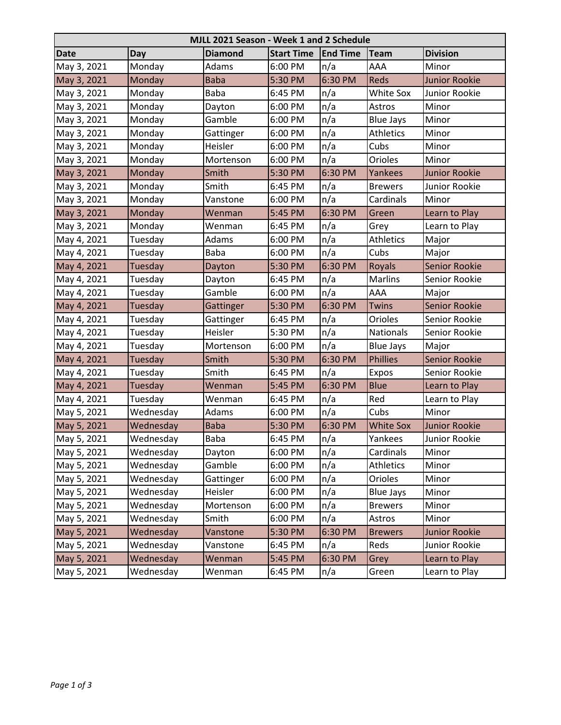| MJLL 2021 Season - Week 1 and 2 Schedule |                |                |                   |                 |                  |                      |  |
|------------------------------------------|----------------|----------------|-------------------|-----------------|------------------|----------------------|--|
| <b>Date</b>                              | Day            | <b>Diamond</b> | <b>Start Time</b> | <b>End Time</b> | Team             | <b>Division</b>      |  |
| May 3, 2021                              | Monday         | Adams          | 6:00 PM           | n/a             | AAA              | Minor                |  |
| May 3, 2021                              | Monday         | <b>Baba</b>    | 5:30 PM           | 6:30 PM         | <b>Reds</b>      | <b>Junior Rookie</b> |  |
| May 3, 2021                              | Monday         | <b>Baba</b>    | 6:45 PM           | n/a             | White Sox        | Junior Rookie        |  |
| May 3, 2021                              | Monday         | Dayton         | 6:00 PM           | n/a             | Astros           | Minor                |  |
| May 3, 2021                              | Monday         | Gamble         | 6:00 PM           | n/a             | <b>Blue Jays</b> | Minor                |  |
| May 3, 2021                              | Monday         | Gattinger      | 6:00 PM           | n/a             | Athletics        | Minor                |  |
| May 3, 2021                              | Monday         | Heisler        | 6:00 PM           | n/a             | Cubs             | Minor                |  |
| May 3, 2021                              | Monday         | Mortenson      | 6:00 PM           | n/a             | Orioles          | Minor                |  |
| May 3, 2021                              | Monday         | Smith          | 5:30 PM           | 6:30 PM         | Yankees          | <b>Junior Rookie</b> |  |
| May 3, 2021                              | Monday         | Smith          | 6:45 PM           | n/a             | <b>Brewers</b>   | Junior Rookie        |  |
| May 3, 2021                              | Monday         | Vanstone       | 6:00 PM           | n/a             | Cardinals        | Minor                |  |
| May 3, 2021                              | <b>Monday</b>  | Wenman         | 5:45 PM           | 6:30 PM         | Green            | Learn to Play        |  |
| May 3, 2021                              | Monday         | Wenman         | 6:45 PM           | n/a             | Grey             | Learn to Play        |  |
| May 4, 2021                              | Tuesday        | Adams          | 6:00 PM           | n/a             | <b>Athletics</b> | Major                |  |
| May 4, 2021                              | Tuesday        | <b>Baba</b>    | 6:00 PM           | n/a             | Cubs             | Major                |  |
| May 4, 2021                              | <b>Tuesday</b> | Dayton         | 5:30 PM           | 6:30 PM         | Royals           | <b>Senior Rookie</b> |  |
| May 4, 2021                              | Tuesday        | Dayton         | 6:45 PM           | n/a             | Marlins          | Senior Rookie        |  |
| May 4, 2021                              | Tuesday        | Gamble         | 6:00 PM           | n/a             | AAA              | Major                |  |
| May 4, 2021                              | <b>Tuesday</b> | Gattinger      | 5:30 PM           | 6:30 PM         | <b>Twins</b>     | <b>Senior Rookie</b> |  |
| May 4, 2021                              | Tuesday        | Gattinger      | 6:45 PM           | n/a             | Orioles          | Senior Rookie        |  |
| May 4, 2021                              | Tuesday        | Heisler        | 5:30 PM           | n/a             | Nationals        | Senior Rookie        |  |
| May 4, 2021                              | Tuesday        | Mortenson      | 6:00 PM           | n/a             | <b>Blue Jays</b> | Major                |  |
| May 4, 2021                              | <b>Tuesday</b> | Smith          | 5:30 PM           | 6:30 PM         | <b>Phillies</b>  | <b>Senior Rookie</b> |  |
| May 4, 2021                              | Tuesday        | Smith          | 6:45 PM           | n/a             | Expos            | Senior Rookie        |  |
| May 4, 2021                              | <b>Tuesday</b> | Wenman         | 5:45 PM           | 6:30 PM         | <b>Blue</b>      | Learn to Play        |  |
| May 4, 2021                              | Tuesday        | Wenman         | 6:45 PM           | n/a             | Red              | Learn to Play        |  |
| May 5, 2021                              | Wednesday      | Adams          | 6:00 PM           | n/a             | Cubs             | Minor                |  |
| May 5, 2021                              | Wednesday      | <b>Baba</b>    | 5:30 PM           | 6:30 PM         | <b>White Sox</b> | <b>Junior Rookie</b> |  |
| May 5, 2021                              | Wednesday      | <b>Baba</b>    | 6:45 PM           | n/a             | Yankees          | Junior Rookie        |  |
| May 5, 2021                              | Wednesday      | Dayton         | 6:00 PM           | n/a             | Cardinals        | Minor                |  |
| May 5, 2021                              | Wednesday      | Gamble         | 6:00 PM           | n/a             | Athletics        | Minor                |  |
| May 5, 2021                              | Wednesday      | Gattinger      | 6:00 PM           | n/a             | Orioles          | Minor                |  |
| May 5, 2021                              | Wednesday      | Heisler        | 6:00 PM           | n/a             | <b>Blue Jays</b> | Minor                |  |
| May 5, 2021                              | Wednesday      | Mortenson      | 6:00 PM           | n/a             | <b>Brewers</b>   | Minor                |  |
| May 5, 2021                              | Wednesday      | Smith          | 6:00 PM           | n/a             | Astros           | Minor                |  |
| May 5, 2021                              | Wednesday      | Vanstone       | 5:30 PM           | 6:30 PM         | <b>Brewers</b>   | <b>Junior Rookie</b> |  |
| May 5, 2021                              | Wednesday      | Vanstone       | 6:45 PM           | n/a             | Reds             | Junior Rookie        |  |
| May 5, 2021                              | Wednesday      | Wenman         | 5:45 PM           | 6:30 PM         | Grey             | Learn to Play        |  |
| May 5, 2021                              | Wednesday      | Wenman         | 6:45 PM           | n/a             | Green            | Learn to Play        |  |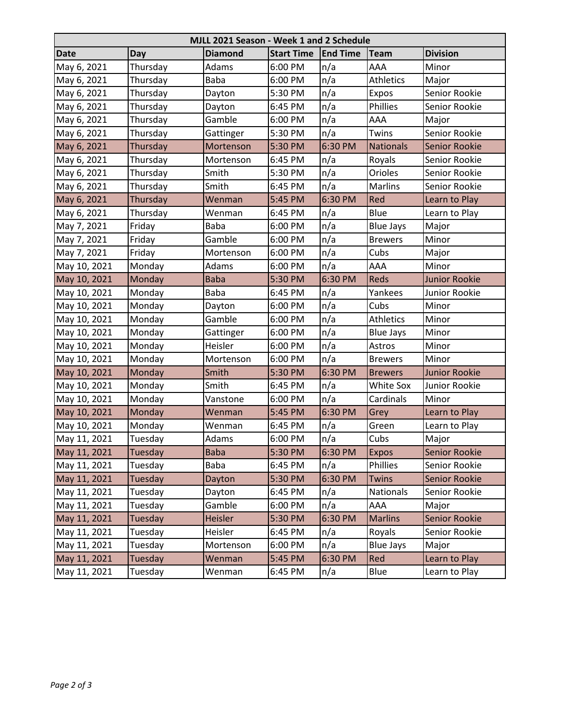| MJLL 2021 Season - Week 1 and 2 Schedule |                |                |                   |                 |                  |                      |  |
|------------------------------------------|----------------|----------------|-------------------|-----------------|------------------|----------------------|--|
| <b>Date</b>                              | Day            | <b>Diamond</b> | <b>Start Time</b> | <b>End Time</b> | Team             | <b>Division</b>      |  |
| May 6, 2021                              | Thursday       | Adams          | 6:00 PM           | n/a             | AAA              | Minor                |  |
| May 6, 2021                              | Thursday       | <b>Baba</b>    | 6:00 PM           | n/a             | <b>Athletics</b> | Major                |  |
| May 6, 2021                              | Thursday       | Dayton         | 5:30 PM           | n/a             | Expos            | Senior Rookie        |  |
| May 6, 2021                              | Thursday       | Dayton         | 6:45 PM           | n/a             | Phillies         | Senior Rookie        |  |
| May 6, 2021                              | Thursday       | Gamble         | 6:00 PM           | n/a             | AAA              | Major                |  |
| May 6, 2021                              | Thursday       | Gattinger      | 5:30 PM           | n/a             | Twins            | Senior Rookie        |  |
| May 6, 2021                              | Thursday       | Mortenson      | 5:30 PM           | 6:30 PM         | <b>Nationals</b> | <b>Senior Rookie</b> |  |
| May 6, 2021                              | Thursday       | Mortenson      | 6:45 PM           | n/a             | Royals           | Senior Rookie        |  |
| May 6, 2021                              | Thursday       | Smith          | 5:30 PM           | n/a             | Orioles          | Senior Rookie        |  |
| May 6, 2021                              | Thursday       | Smith          | 6:45 PM           | n/a             | Marlins          | Senior Rookie        |  |
| May 6, 2021                              | Thursday       | Wenman         | 5:45 PM           | 6:30 PM         | Red              | Learn to Play        |  |
| May 6, 2021                              | Thursday       | Wenman         | 6:45 PM           | n/a             | Blue             | Learn to Play        |  |
| May 7, 2021                              | Friday         | <b>Baba</b>    | 6:00 PM           | n/a             | <b>Blue Jays</b> | Major                |  |
| May 7, 2021                              | Friday         | Gamble         | 6:00 PM           | n/a             | <b>Brewers</b>   | Minor                |  |
| May 7, 2021                              | Friday         | Mortenson      | 6:00 PM           | n/a             | Cubs             | Major                |  |
| May 10, 2021                             | Monday         | Adams          | 6:00 PM           | n/a             | AAA              | Minor                |  |
| May 10, 2021                             | Monday         | <b>Baba</b>    | 5:30 PM           | 6:30 PM         | Reds             | <b>Junior Rookie</b> |  |
| May 10, 2021                             | Monday         | <b>Baba</b>    | 6:45 PM           | n/a             | Yankees          | Junior Rookie        |  |
| May 10, 2021                             | Monday         | Dayton         | 6:00 PM           | n/a             | Cubs             | Minor                |  |
| May 10, 2021                             | Monday         | Gamble         | 6:00 PM           | n/a             | Athletics        | Minor                |  |
| May 10, 2021                             | Monday         | Gattinger      | 6:00 PM           | n/a             | <b>Blue Jays</b> | Minor                |  |
| May 10, 2021                             | Monday         | Heisler        | 6:00 PM           | n/a             | Astros           | Minor                |  |
| May 10, 2021                             | Monday         | Mortenson      | 6:00 PM           | n/a             | <b>Brewers</b>   | Minor                |  |
| May 10, 2021                             | Monday         | Smith          | 5:30 PM           | 6:30 PM         | <b>Brewers</b>   | <b>Junior Rookie</b> |  |
| May 10, 2021                             | Monday         | Smith          | 6:45 PM           | n/a             | White Sox        | Junior Rookie        |  |
| May 10, 2021                             | Monday         | Vanstone       | 6:00 PM           | n/a             | Cardinals        | Minor                |  |
| May 10, 2021                             | Monday         | Wenman         | 5:45 PM           | 6:30 PM         | Grey             | Learn to Play        |  |
| May 10, 2021                             | Monday         | Wenman         | 6:45 PM           | n/a             | Green            | Learn to Play        |  |
| May 11, 2021                             | Tuesday        | Adams          | 6:00 PM           | n/a             | Cubs             | Major                |  |
| May 11, 2021                             | Tuesday        | <b>Baba</b>    | 5:30 PM           | 6:30 PM         | Expos            | Senior Rookie        |  |
| May 11, 2021                             | Tuesday        | Baba           | 6:45 PM           | n/a             | Phillies         | Senior Rookie        |  |
| May 11, 2021                             | <b>Tuesday</b> | Dayton         | 5:30 PM           | 6:30 PM         | <b>Twins</b>     | <b>Senior Rookie</b> |  |
| May 11, 2021                             | Tuesday        | Dayton         | 6:45 PM           | n/a             | Nationals        | Senior Rookie        |  |
| May 11, 2021                             | Tuesday        | Gamble         | 6:00 PM           | n/a             | AAA              | Major                |  |
| May 11, 2021                             | <b>Tuesday</b> | Heisler        | 5:30 PM           | 6:30 PM         | <b>Marlins</b>   | <b>Senior Rookie</b> |  |
| May 11, 2021                             | Tuesday        | Heisler        | 6:45 PM           | n/a             | Royals           | Senior Rookie        |  |
| May 11, 2021                             | Tuesday        | Mortenson      | 6:00 PM           | n/a             | <b>Blue Jays</b> | Major                |  |
| May 11, 2021                             | <b>Tuesday</b> | Wenman         | 5:45 PM           | 6:30 PM         | Red              | Learn to Play        |  |
| May 11, 2021                             | Tuesday        | Wenman         | 6:45 PM           | n/a             | Blue             | Learn to Play        |  |